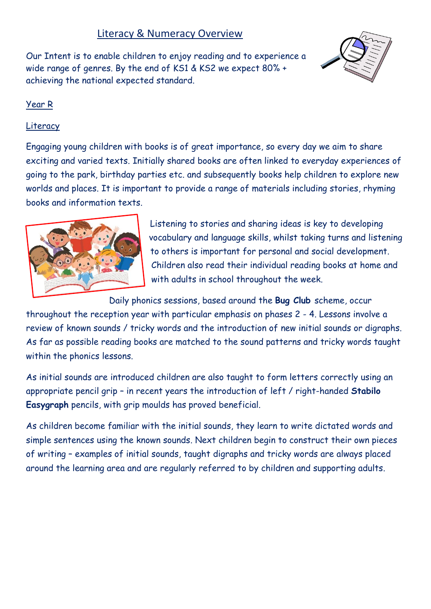# Literacy & Numeracy Overview

Our Intent is to enable children to enjoy reading and to experience a wide range of genres. By the end of KS1 & KS2 we expect 80% + achieving the national expected standard.



## Year R

### Literacy

Engaging young children with books is of great importance, so every day we aim to share exciting and varied texts. Initially shared books are often linked to everyday experiences of going to the park, birthday parties etc. and subsequently books help children to explore new worlds and places. It is important to provide a range of materials including stories, rhyming books and information texts.



Listening to stories and sharing ideas is key to developing vocabulary and language skills, whilst taking turns and listening to others is important for personal and social development. Children also read their individual reading books at home and with adults in school throughout the week.

Daily phonics sessions, based around the **Bug Club** scheme, occur

throughout the reception year with particular emphasis on phases 2 - 4. Lessons involve a review of known sounds / tricky words and the introduction of new initial sounds or digraphs. As far as possible reading books are matched to the sound patterns and tricky words taught within the phonics lessons.

As initial sounds are introduced children are also taught to form letters correctly using an appropriate pencil grip – in recent years the introduction of left / right-handed **Stabilo Easygraph** pencils, with grip moulds has proved beneficial.

As children become familiar with the initial sounds, they learn to write dictated words and simple sentences using the known sounds. Next children begin to construct their own pieces of writing – examples of initial sounds, taught digraphs and tricky words are always placed around the learning area and are regularly referred to by children and supporting adults.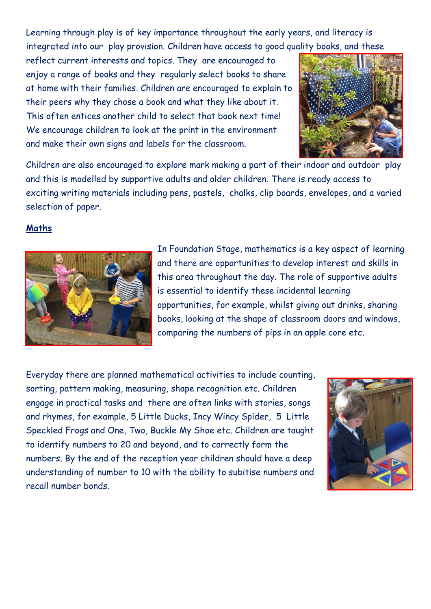Learning through play is of key importance throughout the early years, and literacy is integrated into our play provision. Children have access to good quality books, and these

reflect current interests and topics. They are encouraged to enjoy a range of books and they regularly select books to share at home with their families. Children are encouraged to explain to their peers why they chose a book and what they like about it. This often entices another child to select that book next time! We encourage children to look at the print in the environment and make their own signs and labels for the classroom.



Children are also encouraged to explore mark making a part of their indoor and outdoor play and this is modelled by supportive adults and older children. There is ready access to exciting writing materials including pens, pastels, chalks, clip boards, envelopes, and a varied selection of paper.

## **Maths**



In Foundation Stage, mathematics is a key aspect of learning and there are opportunities to develop interest and skills in this area throughout the day. The role of supportive adults is essential to identify these incidental learning opportunities, for example, whilst giving out drinks, sharing books, looking at the shape of classroom doors and windows, comparing the numbers of pips in an apple core etc.

Everyday there are planned mathematical activities to include counting, sorting, pattern making, measuring, shape recognition etc. Children engage in practical tasks and there are often links with stories, songs and rhymes, for example, 5 Little Ducks, Incy Wincy Spider, 5 Little Speckled Frogs and One, Two, Buckle My Shoe etc. Children are taught to identify numbers to 20 and beyond, and to correctly form the numbers. By the end of the reception year children should have a deep understanding of number to 10 with the ability to subitise numbers and recall number bonds.

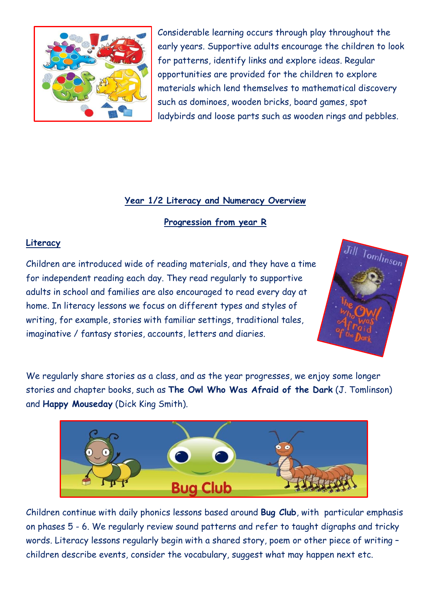

Considerable learning occurs through play throughout the early years. Supportive adults encourage the children to look for patterns, identify links and explore ideas. Regular opportunities are provided for the children to explore materials which lend themselves to mathematical discovery such as dominoes, wooden bricks, board games, spot ladybirds and loose parts such as wooden rings and pebbles.

## **Year 1/2 Literacy and Numeracy Overview**

**Progression from year R**

### **Literacy**

Children are introduced wide of reading materials, and they have a time for independent reading each day. They read regularly to supportive adults in school and families are also encouraged to read every day at home. In literacy lessons we focus on different types and styles of writing, for example, stories with familiar settings, traditional tales, imaginative / fantasy stories, accounts, letters and diaries.



We regularly share stories as a class, and as the year progresses, we enjoy some longer stories and chapter books, such as **The Owl Who Was Afraid of the Dark** (J. Tomlinson) and **Happy Mouseday** (Dick King Smith).



Children continue with daily phonics lessons based around **Bug Club**, with particular emphasis on phases 5 - 6. We regularly review sound patterns and refer to taught digraphs and tricky words. Literacy lessons regularly begin with a shared story, poem or other piece of writing – children describe events, consider the vocabulary, suggest what may happen next etc.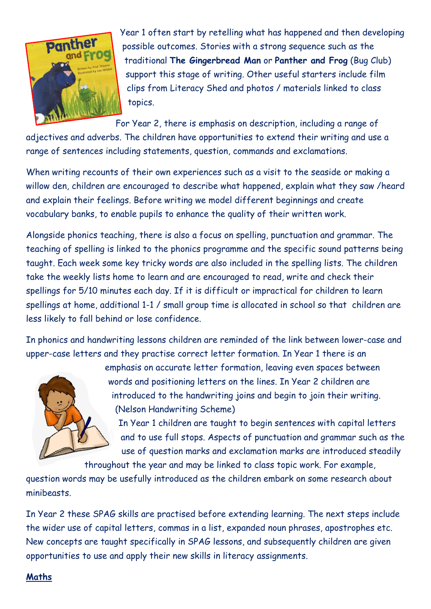

Year 1 often start by retelling what has happened and then developing possible outcomes. Stories with a strong sequence such as the traditional **The Gingerbread Man** or **Panther and Frog** (Bug Club) support this stage of writing. Other useful starters include film clips from Literacy Shed and photos / materials linked to class topics.

For Year 2, there is emphasis on description, including a range of

adjectives and adverbs. The children have opportunities to extend their writing and use a range of sentences including statements, question, commands and exclamations.

When writing recounts of their own experiences such as a visit to the seaside or making a willow den, children are encouraged to describe what happened, explain what they saw /heard and explain their feelings. Before writing we model different beginnings and create vocabulary banks, to enable pupils to enhance the quality of their written work.

Alongside phonics teaching, there is also a focus on spelling, punctuation and grammar. The teaching of spelling is linked to the phonics programme and the specific sound patterns being taught. Each week some key tricky words are also included in the spelling lists. The children take the weekly lists home to learn and are encouraged to read, write and check their spellings for 5/10 minutes each day. If it is difficult or impractical for children to learn spellings at home, additional 1-1 / small group time is allocated in school so that children are less likely to fall behind or lose confidence.

In phonics and handwriting lessons children are reminded of the link between lower-case and upper-case letters and they practise correct letter formation. In Year 1 there is an



emphasis on accurate letter formation, leaving even spaces between words and positioning letters on the lines. In Year 2 children are introduced to the handwriting joins and begin to join their writing. (Nelson Handwriting Scheme)

In Year 1 children are taught to begin sentences with capital letters and to use full stops. Aspects of punctuation and grammar such as the use of question marks and exclamation marks are introduced steadily

throughout the year and may be linked to class topic work. For example,

question words may be usefully introduced as the children embark on some research about minibeasts.

In Year 2 these SPAG skills are practised before extending learning. The next steps include the wider use of capital letters, commas in a list, expanded noun phrases, apostrophes etc. New concepts are taught specifically in SPAG lessons, and subsequently children are given opportunities to use and apply their new skills in literacy assignments.

### **Maths**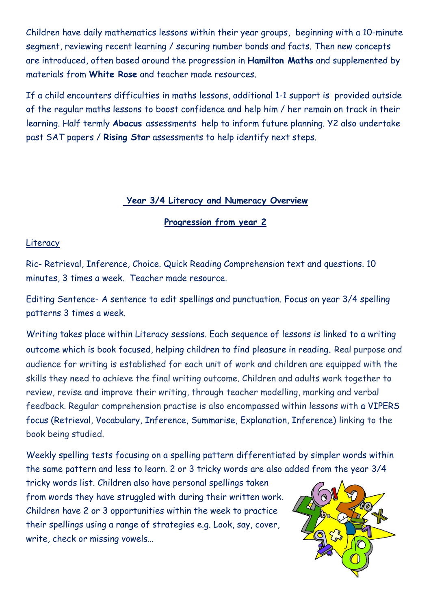Children have daily mathematics lessons within their year groups, beginning with a 10-minute segment, reviewing recent learning / securing number bonds and facts. Then new concepts are introduced, often based around the progression in **Hamilton Maths** and supplemented by materials from **White Rose** and teacher made resources.

If a child encounters difficulties in maths lessons, additional 1-1 support is provided outside of the regular maths lessons to boost confidence and help him / her remain on track in their learning. Half termly **Abacus** assessments help to inform future planning. Y2 also undertake past SAT papers / **Rising Star** assessments to help identify next steps.

### **Year 3/4 Literacy and Numeracy Overview**

#### **Progression from year 2**

#### **Literacy**

Ric- Retrieval, Inference, Choice. Quick Reading Comprehension text and questions. 10 minutes, 3 times a week. Teacher made resource.

Editing Sentence- A sentence to edit spellings and punctuation. Focus on year 3/4 spelling patterns 3 times a week.

Writing takes place within Literacy sessions. Each sequence of lessons is linked to a writing outcome which is book focused, helping children to find pleasure in reading. Real purpose and audience for writing is established for each unit of work and children are equipped with the skills they need to achieve the final writing outcome. Children and adults work together to review, revise and improve their writing, through teacher modelling, marking and verbal feedback. Regular comprehension practise is also encompassed within lessons with a VIPERS focus (Retrieval, Vocabulary, Inference, Summarise, Explanation, Inference) linking to the book being studied.

Weekly spelling tests focusing on a spelling pattern differentiated by simpler words within the same pattern and less to learn. 2 or 3 tricky words are also added from the year 3/4

tricky words list. Children also have personal spellings taken from words they have struggled with during their written work. Children have 2 or 3 opportunities within the week to practice their spellings using a range of strategies e.g. Look, say, cover, write, check or missing vowels…

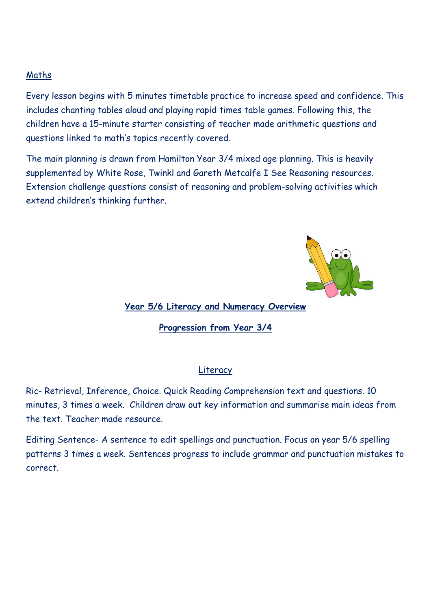#### Maths

Every lesson begins with 5 minutes timetable practice to increase speed and confidence. This includes chanting tables aloud and playing rapid times table games. Following this, the children have a 15-minute starter consisting of teacher made arithmetic questions and questions linked to math's topics recently covered.

The main planning is drawn from Hamilton Year 3/4 mixed age planning. This is heavily supplemented by White Rose, Twinkl and Gareth Metcalfe I See Reasoning resources. Extension challenge questions consist of reasoning and problem-solving activities which extend children's thinking further.



#### **Year 5/6 Literacy and Numeracy Overview**

**Progression from Year 3/4**

#### Literacy

Ric- Retrieval, Inference, Choice. Quick Reading Comprehension text and questions. 10 minutes, 3 times a week. Children draw out key information and summarise main ideas from the text. Teacher made resource.

Editing Sentence- A sentence to edit spellings and punctuation. Focus on year 5/6 spelling patterns 3 times a week. Sentences progress to include grammar and punctuation mistakes to correct.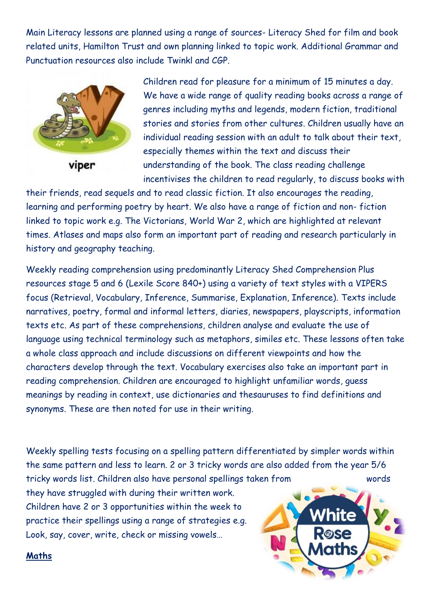Main Literacy lessons are planned using a range of sources- Literacy Shed for film and book related units, Hamilton Trust and own planning linked to topic work. Additional Grammar and Punctuation resources also include Twinkl and CGP.



Children read for pleasure for a minimum of 15 minutes a day. We have a wide range of quality reading books across a range of genres including myths and legends, modern fiction, traditional stories and stories from other cultures. Children usually have an individual reading session with an adult to talk about their text, especially themes within the text and discuss their understanding of the book. The class reading challenge incentivises the children to read regularly, to discuss books with

their friends, read sequels and to read classic fiction. It also encourages the reading, learning and performing poetry by heart. We also have a range of fiction and non- fiction linked to topic work e.g. The Victorians, World War 2, which are highlighted at relevant times. Atlases and maps also form an important part of reading and research particularly in history and geography teaching.

Weekly reading comprehension using predominantly Literacy Shed Comprehension Plus resources stage 5 and 6 (Lexile Score 840+) using a variety of text styles with a VIPERS focus (Retrieval, Vocabulary, Inference, Summarise, Explanation, Inference). Texts include narratives, poetry, formal and informal letters, diaries, newspapers, playscripts, information texts etc. As part of these comprehensions, children analyse and evaluate the use of language using technical terminology such as metaphors, similes etc. These lessons often take a whole class approach and include discussions on different viewpoints and how the characters develop through the text. Vocabulary exercises also take an important part in reading comprehension. Children are encouraged to highlight unfamiliar words, guess meanings by reading in context, use dictionaries and thesauruses to find definitions and synonyms. These are then noted for use in their writing.

Weekly spelling tests focusing on a spelling pattern differentiated by simpler words within the same pattern and less to learn. 2 or 3 tricky words are also added from the year 5/6 tricky words list. Children also have personal spellings taken from words

they have struggled with during their written work. Children have 2 or 3 opportunities within the week to practice their spellings using a range of strategies e.g. Look, say, cover, write, check or missing vowels…



**Maths**